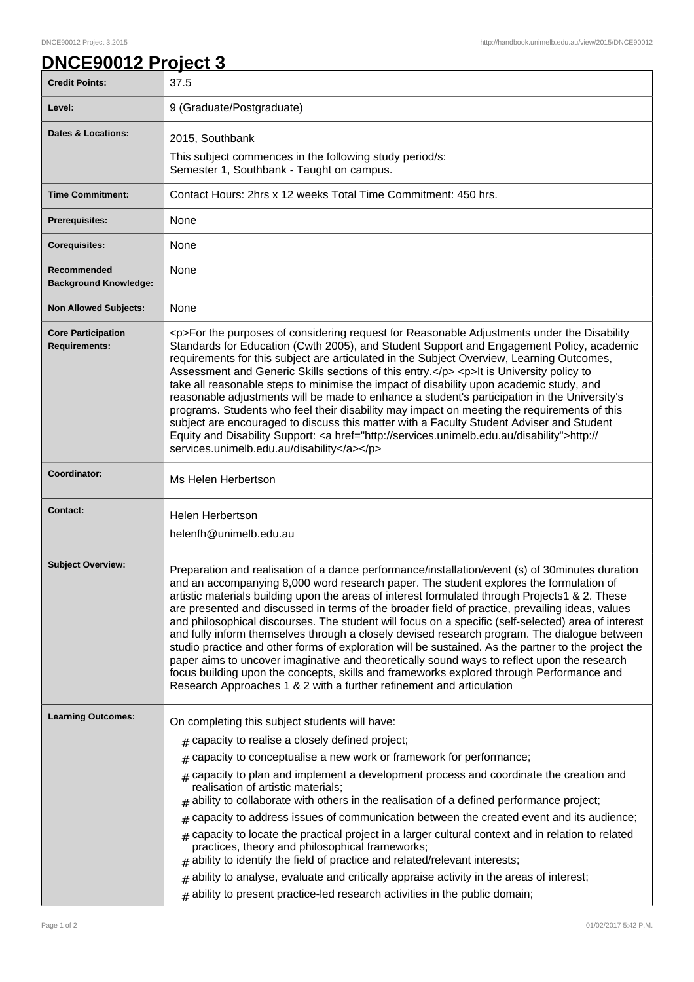## **DNCE90012 Project 3**

| <b>Credit Points:</b>                             | 37.5                                                                                                                                                                                                                                                                                                                                                                                                                                                                                                                                                                                                                                                                                                                                                                                                                                                                                                                                                                            |
|---------------------------------------------------|---------------------------------------------------------------------------------------------------------------------------------------------------------------------------------------------------------------------------------------------------------------------------------------------------------------------------------------------------------------------------------------------------------------------------------------------------------------------------------------------------------------------------------------------------------------------------------------------------------------------------------------------------------------------------------------------------------------------------------------------------------------------------------------------------------------------------------------------------------------------------------------------------------------------------------------------------------------------------------|
| Level:                                            | 9 (Graduate/Postgraduate)                                                                                                                                                                                                                                                                                                                                                                                                                                                                                                                                                                                                                                                                                                                                                                                                                                                                                                                                                       |
| <b>Dates &amp; Locations:</b>                     | 2015, Southbank                                                                                                                                                                                                                                                                                                                                                                                                                                                                                                                                                                                                                                                                                                                                                                                                                                                                                                                                                                 |
|                                                   | This subject commences in the following study period/s:<br>Semester 1, Southbank - Taught on campus.                                                                                                                                                                                                                                                                                                                                                                                                                                                                                                                                                                                                                                                                                                                                                                                                                                                                            |
| <b>Time Commitment:</b>                           | Contact Hours: 2hrs x 12 weeks Total Time Commitment: 450 hrs.                                                                                                                                                                                                                                                                                                                                                                                                                                                                                                                                                                                                                                                                                                                                                                                                                                                                                                                  |
| <b>Prerequisites:</b>                             | None                                                                                                                                                                                                                                                                                                                                                                                                                                                                                                                                                                                                                                                                                                                                                                                                                                                                                                                                                                            |
| <b>Corequisites:</b>                              | None                                                                                                                                                                                                                                                                                                                                                                                                                                                                                                                                                                                                                                                                                                                                                                                                                                                                                                                                                                            |
| Recommended<br><b>Background Knowledge:</b>       | None                                                                                                                                                                                                                                                                                                                                                                                                                                                                                                                                                                                                                                                                                                                                                                                                                                                                                                                                                                            |
| <b>Non Allowed Subjects:</b>                      | None                                                                                                                                                                                                                                                                                                                                                                                                                                                                                                                                                                                                                                                                                                                                                                                                                                                                                                                                                                            |
| <b>Core Participation</b><br><b>Requirements:</b> | <p>For the purposes of considering request for Reasonable Adjustments under the Disability<br/>Standards for Education (Cwth 2005), and Student Support and Engagement Policy, academic<br/>requirements for this subject are articulated in the Subject Overview, Learning Outcomes,<br/>Assessment and Generic Skills sections of this entry.</p> <p>It is University policy to<br/>take all reasonable steps to minimise the impact of disability upon academic study, and<br/>reasonable adjustments will be made to enhance a student's participation in the University's<br/>programs. Students who feel their disability may impact on meeting the requirements of this<br/>subject are encouraged to discuss this matter with a Faculty Student Adviser and Student<br/>Equity and Disability Support: &lt; a href="http://services.unimelb.edu.au/disability"&gt;http://<br/>services.unimelb.edu.au/disability</p>                                                    |
| Coordinator:                                      | Ms Helen Herbertson                                                                                                                                                                                                                                                                                                                                                                                                                                                                                                                                                                                                                                                                                                                                                                                                                                                                                                                                                             |
| <b>Contact:</b>                                   | <b>Helen Herbertson</b><br>helenfh@unimelb.edu.au                                                                                                                                                                                                                                                                                                                                                                                                                                                                                                                                                                                                                                                                                                                                                                                                                                                                                                                               |
| <b>Subject Overview:</b>                          | Preparation and realisation of a dance performance/installation/event (s) of 30minutes duration<br>and an accompanying 8,000 word research paper. The student explores the formulation of<br>artistic materials building upon the areas of interest formulated through Projects1 & 2. These<br>are presented and discussed in terms of the broader field of practice, prevailing ideas, values<br>and philosophical discourses. The student will focus on a specific (self-selected) area of interest<br>and fully inform themselves through a closely devised research program. The dialogue between<br>studio practice and other forms of exploration will be sustained. As the partner to the project the<br>paper aims to uncover imaginative and theoretically sound ways to reflect upon the research<br>focus building upon the concepts, skills and frameworks explored through Performance and<br>Research Approaches 1 & 2 with a further refinement and articulation |
| <b>Learning Outcomes:</b>                         | On completing this subject students will have:                                                                                                                                                                                                                                                                                                                                                                                                                                                                                                                                                                                                                                                                                                                                                                                                                                                                                                                                  |
|                                                   | capacity to realise a closely defined project;<br>#                                                                                                                                                                                                                                                                                                                                                                                                                                                                                                                                                                                                                                                                                                                                                                                                                                                                                                                             |
|                                                   | capacity to conceptualise a new work or framework for performance;                                                                                                                                                                                                                                                                                                                                                                                                                                                                                                                                                                                                                                                                                                                                                                                                                                                                                                              |
|                                                   | capacity to plan and implement a development process and coordinate the creation and<br>#<br>realisation of artistic materials;<br>ability to collaborate with others in the realisation of a defined performance project;<br>#                                                                                                                                                                                                                                                                                                                                                                                                                                                                                                                                                                                                                                                                                                                                                 |
|                                                   | capacity to address issues of communication between the created event and its audience;<br>#                                                                                                                                                                                                                                                                                                                                                                                                                                                                                                                                                                                                                                                                                                                                                                                                                                                                                    |
|                                                   | $_{\#}$ capacity to locate the practical project in a larger cultural context and in relation to related<br>practices, theory and philosophical frameworks;<br>ability to identify the field of practice and related/relevant interests;                                                                                                                                                                                                                                                                                                                                                                                                                                                                                                                                                                                                                                                                                                                                        |
|                                                   | ability to analyse, evaluate and critically appraise activity in the areas of interest;<br>#                                                                                                                                                                                                                                                                                                                                                                                                                                                                                                                                                                                                                                                                                                                                                                                                                                                                                    |
|                                                   | $#$ ability to present practice-led research activities in the public domain;                                                                                                                                                                                                                                                                                                                                                                                                                                                                                                                                                                                                                                                                                                                                                                                                                                                                                                   |